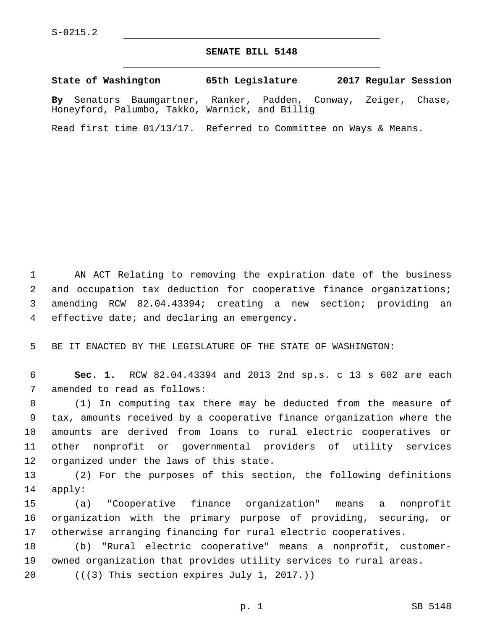## **SENATE BILL 5148**

**State of Washington 65th Legislature 2017 Regular Session By** Senators Baumgartner, Ranker, Padden, Conway, Zeiger, Chase, Honeyford, Palumbo, Takko, Warnick, and Billig

Read first time 01/13/17. Referred to Committee on Ways & Means.

 AN ACT Relating to removing the expiration date of the business and occupation tax deduction for cooperative finance organizations; amending RCW 82.04.43394; creating a new section; providing an 4 effective date; and declaring an emergency.

5 BE IT ENACTED BY THE LEGISLATURE OF THE STATE OF WASHINGTON:

6 **Sec. 1.** RCW 82.04.43394 and 2013 2nd sp.s. c 13 s 602 are each 7 amended to read as follows:

 (1) In computing tax there may be deducted from the measure of tax, amounts received by a cooperative finance organization where the amounts are derived from loans to rural electric cooperatives or other nonprofit or governmental providers of utility services 12 organized under the laws of this state.

13 (2) For the purposes of this section, the following definitions 14 apply:

15 (a) "Cooperative finance organization" means a nonprofit 16 organization with the primary purpose of providing, securing, or 17 otherwise arranging financing for rural electric cooperatives.

18 (b) "Rural electric cooperative" means a nonprofit, customer-19 owned organization that provides utility services to rural areas.

20  $((3)$  This section expires July 1, 2017.)

p. 1 SB 5148